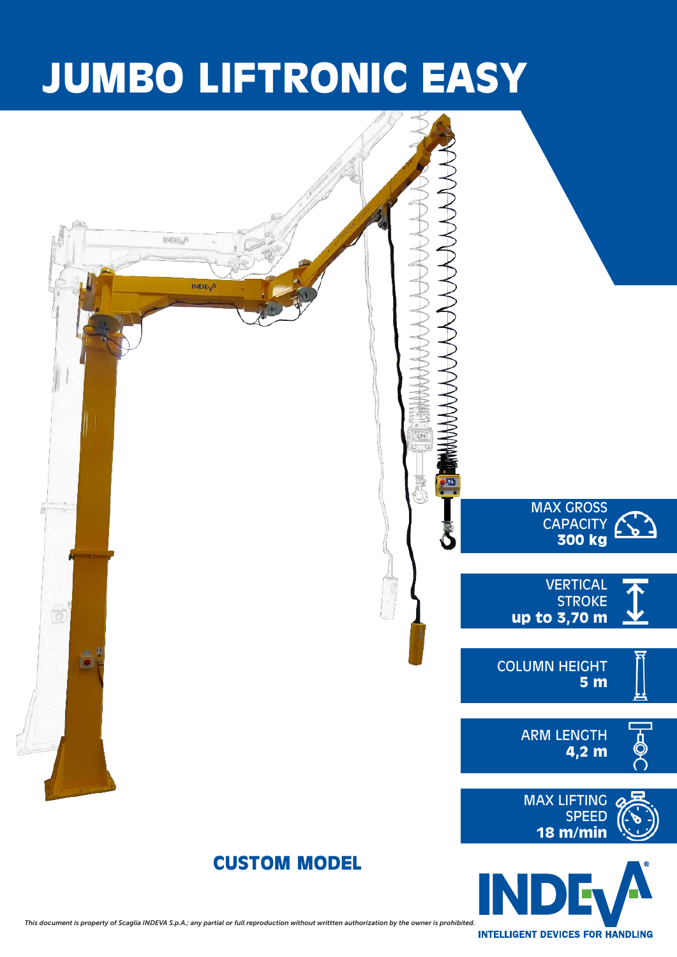## **JUMBO LIFTRONIC EASY**

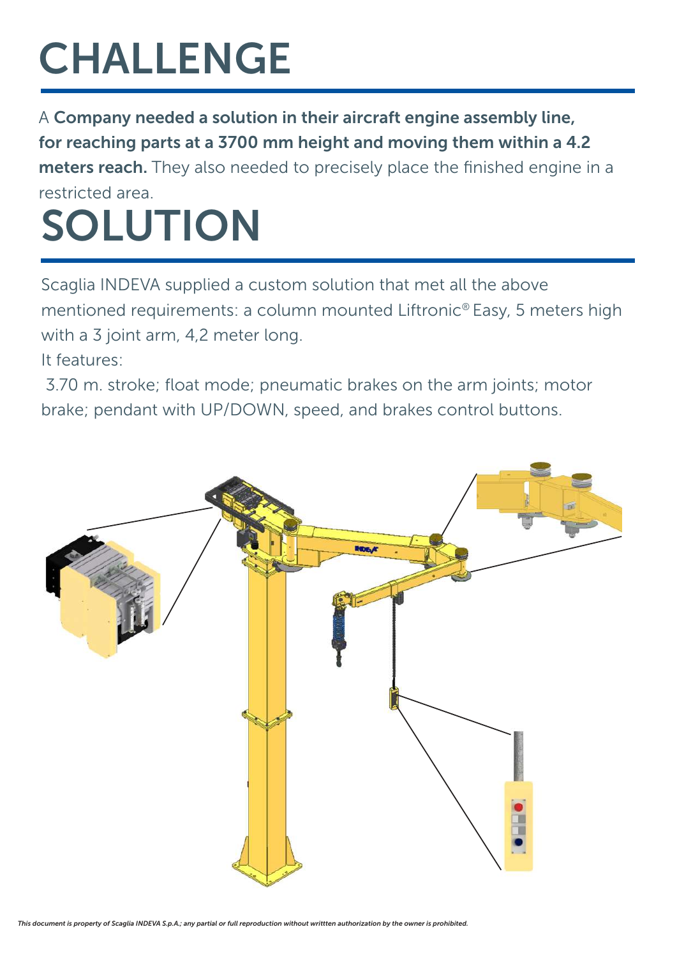## CHALLENGE

A Company needed a solution in their aircraft engine assembly line, for reaching parts at a 3700 mm height and moving them within a 4.2 meters reach. They also needed to precisely place the finished engine in a restricted area.

## SOLUTION

Scaglia INDEVA supplied a custom solution that met all the above mentioned requirements: a column mounted Liftronic® Easy, 5 meters high with a 3 joint arm, 4,2 meter long.

It features:

 3.70 m. stroke; float mode; pneumatic brakes on the arm joints; motor brake; pendant with UP/DOWN, speed, and brakes control buttons.